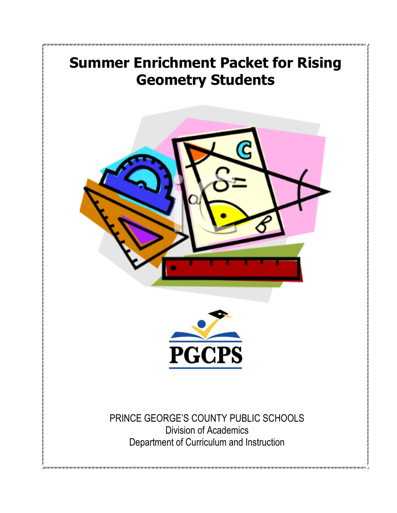





PRINCE GEORGE'S COUNTY PUBLIC SCHOOLS Division of Academics Department of Curriculum and Instruction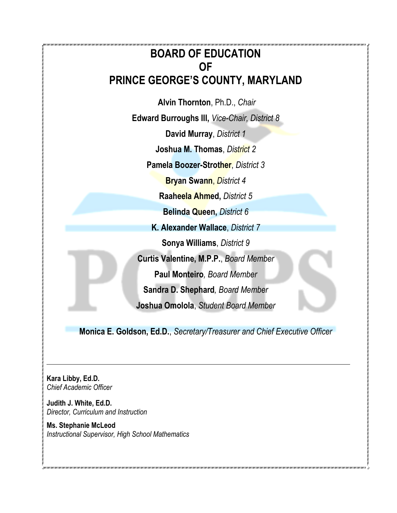

**Kara Libby, Ed.D.** *Chief Academic Officer*

**Judith J. White, Ed.D.** *Director, Curriculum and Instruction*

**Ms. Stephanie McLeod** *Instructional Supervisor, High School Mathematics*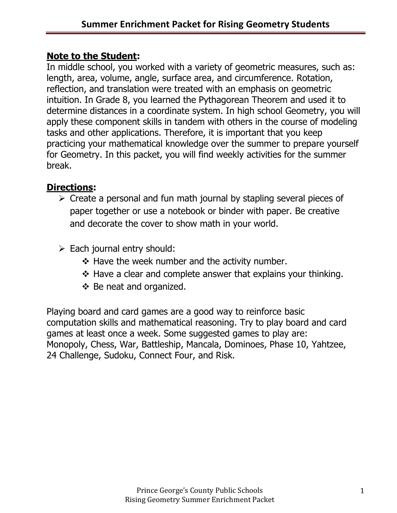# **Note to the Student:**

In middle school, you worked with a variety of geometric measures, such as: length, area, volume, angle, surface area, and circumference. Rotation, reflection, and translation were treated with an emphasis on geometric intuition. In Grade 8, you learned the Pythagorean Theorem and used it to determine distances in a coordinate system. In high school Geometry, you will apply these component skills in tandem with others in the course of modeling tasks and other applications. Therefore, it is important that you keep practicing your mathematical knowledge over the summer to prepare yourself for Geometry. In this packet, you will find weekly activities for the summer break.

# **Directions:**

- ➢ Create a personal and fun math journal by stapling several pieces of paper together or use a notebook or binder with paper. Be creative and decorate the cover to show math in your world.
- $\triangleright$  Each journal entry should:
	- ❖ Have the week number and the activity number.
	- ❖ Have a clear and complete answer that explains your thinking.
	- ❖ Be neat and organized.

Playing board and card games are a good way to reinforce basic computation skills and mathematical reasoning. Try to play board and card games at least once a week. Some suggested games to play are: Monopoly, Chess, War, Battleship, Mancala, Dominoes, Phase 10, Yahtzee, 24 Challenge, Sudoku, Connect Four, and Risk.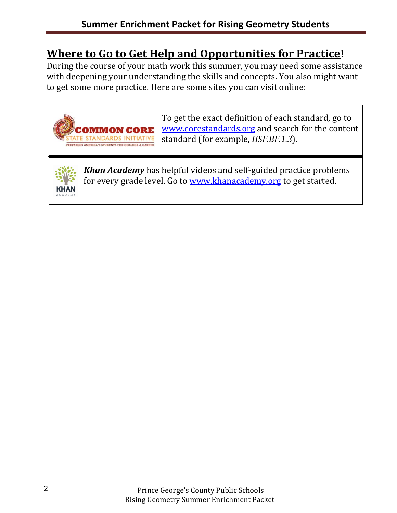# **Where to Go to Get Help and Opportunities for Practice!**

During the course of your math work this summer, you may need some assistance with deepening your understanding the skills and concepts. You also might want to get some more practice. Here are some sites you can visit online:



To get the exact definition of each standard, go to [www.corestandards.org](http://www.corestandards.org/) and search for the content standard (for example, *HSF.BF.1.3*).



*Khan Academy* has helpful videos and self-guided practice problems for every grade level. Go to [www.khanacademy.org](http://www.khanacademy.org/) to get started.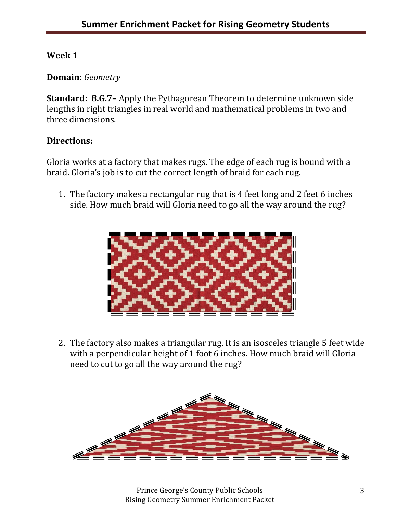#### **Domain:** *Geometry*

**Standard: 8.G.7–** Apply the Pythagorean Theorem to determine unknown side lengths in right triangles in real world and mathematical problems in two and three dimensions.

### **Directions:**

Gloria works at a factory that makes rugs. The edge of each rug is bound with a braid. Gloria's job is to cut the correct length of braid for each rug.

1. The factory makes a rectangular rug that is 4 feet long and 2 feet 6 inches side. How much braid will Gloria need to go all the way around the rug?



2. The factory also makes a triangular rug. It is an isosceles triangle 5 feet wide with a perpendicular height of 1 foot 6 inches. How much braid will Gloria need to cut to go all the way around the rug?

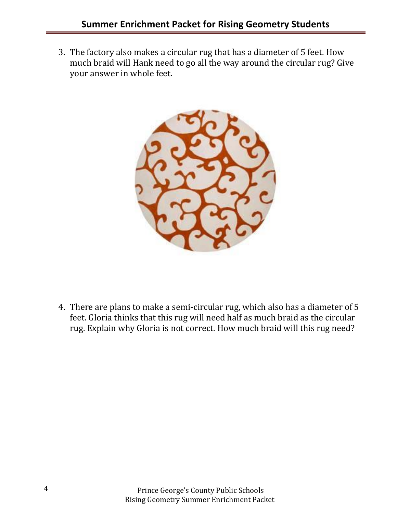3. The factory also makes a circular rug that has a diameter of 5 feet. How much braid will Hank need to go all the way around the circular rug? Give your answer in whole feet.



4. There are plans to make a semi-circular rug, which also has a diameter of 5 feet. Gloria thinks that this rug will need half as much braid as the circular rug. Explain why Gloria is not correct. How much braid will this rug need?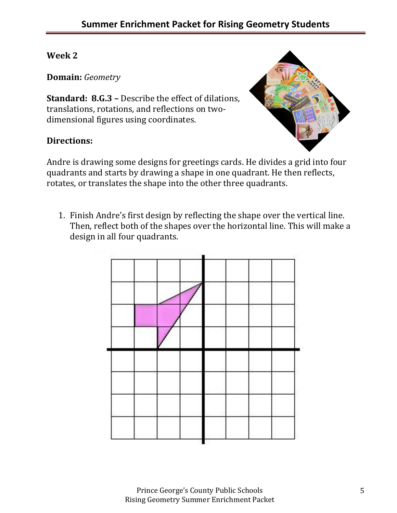**Domain:** *Geometry*

**Standard: 8.G.3 –** Describe the effect of dilations, translations, rotations, and reflections on twodimensional figures using coordinates.

### **Directions:**



1. Finish Andre's first design by reflecting the shape over the vertical line. Then, reflect both of the shapes over the horizontal line. This will make a design in all four quadrants.

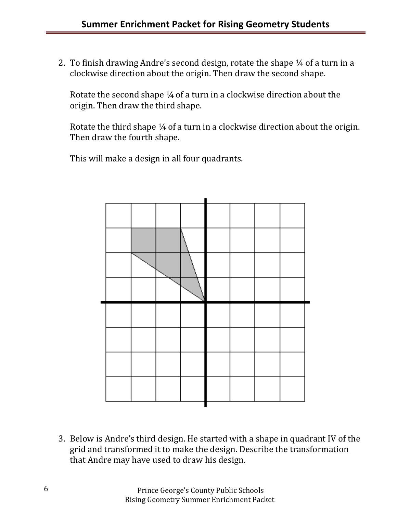2. To finish drawing Andre's second design, rotate the shape ¼ of a turn in a clockwise direction about the origin. Then draw the second shape.

Rotate the second shape ¼ of a turn in a clockwise direction about the origin. Then draw the third shape.

Rotate the third shape ¼ of a turn in a clockwise direction about the origin. Then draw the fourth shape.

This will make a design in all four quadrants.



3. Below is Andre's third design. He started with a shape in quadrant IV of the grid and transformed it to make the design. Describe the transformation that Andre may have used to draw his design.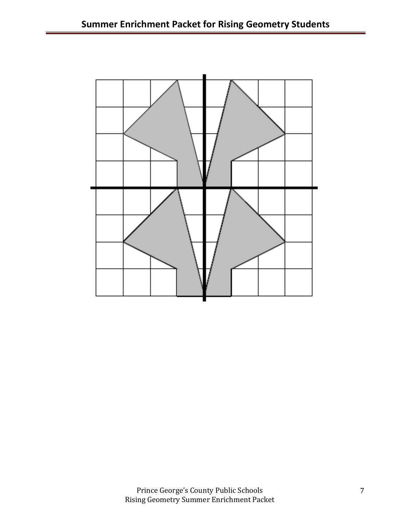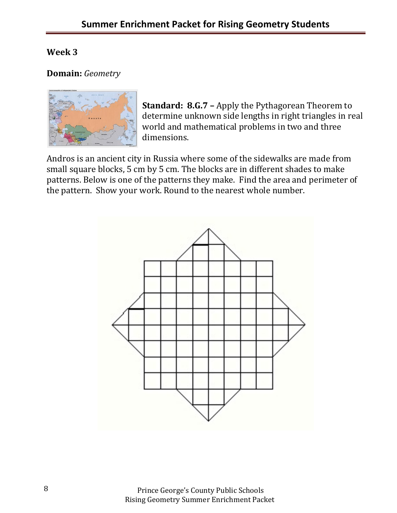#### **Domain:** *Geometry*



**Standard: 8.G.7 –** Apply the Pythagorean Theorem to determine unknown side lengths in right triangles in real world and mathematical problems in two and three dimensions.

Andros is an ancient city in Russia where some of the sidewalks are made from small square blocks, 5 cm by 5 cm. The blocks are in different shades to make patterns. Below is one of the patterns they make. Find the area and perimeter of the pattern. Show your work. Round to the nearest whole number.

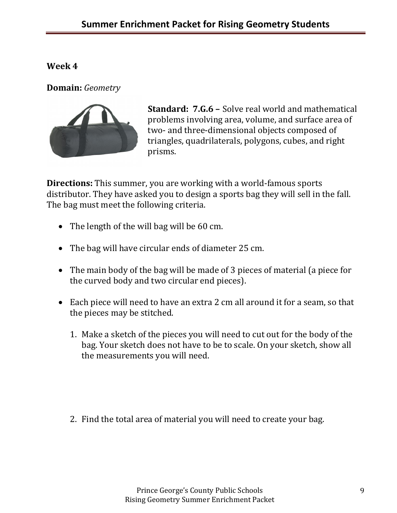**Domain:** *Geometry*



**Standard: 7.G.6 –** Solve real world and mathematical problems involving area, volume, and surface area of two- and three-dimensional objects composed of triangles, quadrilaterals, polygons, cubes, and right prisms.

**Directions:** This summer, you are working with a world-famous sports distributor. They have asked you to design a sports bag they will sell in the fall. The bag must meet the following criteria.

- The length of the will bag will be 60 cm.
- The bag will have circular ends of diameter 25 cm.
- The main body of the bag will be made of 3 pieces of material (a piece for the curved body and two circular end pieces).
- Each piece will need to have an extra 2 cm all around it for a seam, so that the pieces may be stitched.
	- 1. Make a sketch of the pieces you will need to cut out for the body of the bag. Your sketch does not have to be to scale. On your sketch, show all the measurements you will need.

2. Find the total area of material you will need to create your bag.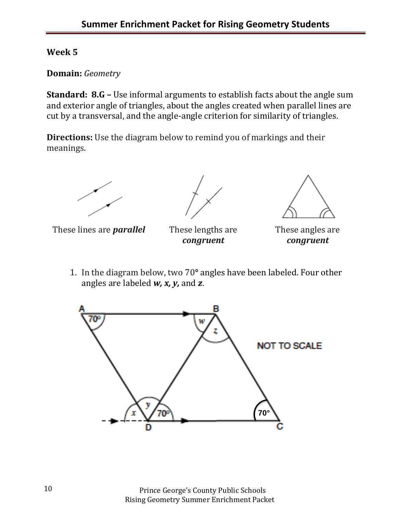**Domain:** *Geometry*

**Standard: 8.G –** Use informal arguments to establish facts about the angle sum and exterior angle of triangles, about the angles created when parallel lines are cut by a transversal, and the angle-angle criterion for similarity of triangles.

**Directions:** Use the diagram below to remind you of markings and their meanings.



These lines are *parallel* These lengths are

*congruent*



These angles are *congruent*

1. In the diagram below, two 70**°** angles have been labeled. Four other angles are labeled *w, x, y,* and *z*.

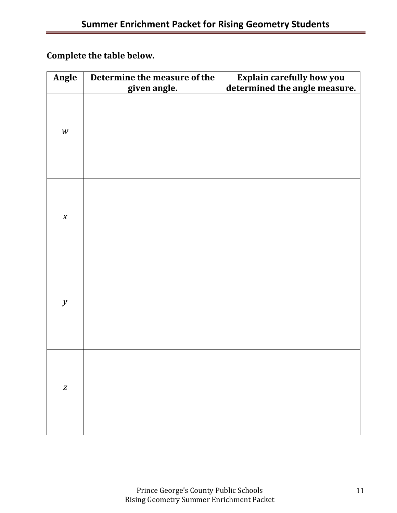**Complete the table below.** 

| Angle                      | Determine the measure of the | <b>Explain carefully how you</b> |
|----------------------------|------------------------------|----------------------------------|
| $\ensuremath{W}$           | given angle.                 | determined the angle measure.    |
| $\boldsymbol{X}$           |                              |                                  |
| $\boldsymbol{\mathcal{Y}}$ |                              |                                  |
| $\boldsymbol{Z}$           |                              |                                  |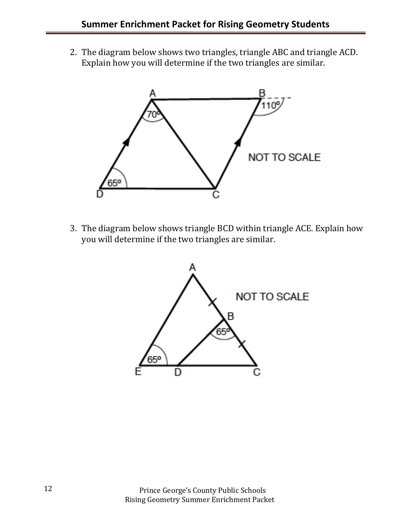2. The diagram below shows two triangles, triangle ABC and triangle ACD. Explain how you will determine if the two triangles are similar.



3. The diagram below shows triangle BCD within triangle ACE. Explain how you will determine if the two triangles are similar.

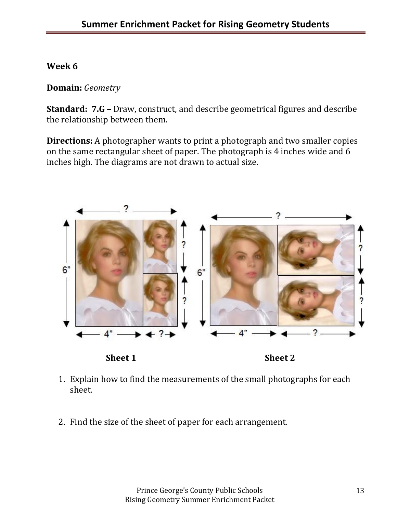#### **Domain:** *Geometry*

**Standard: 7.G –** Draw, construct, and describe geometrical figures and describe the relationship between them.

**Directions:** A photographer wants to print a photograph and two smaller copies on the same rectangular sheet of paper. The photograph is 4 inches wide and 6 inches high. The diagrams are not drawn to actual size.







- 1. Explain how to find the measurements of the small photographs for each sheet.
- 2. Find the size of the sheet of paper for each arrangement.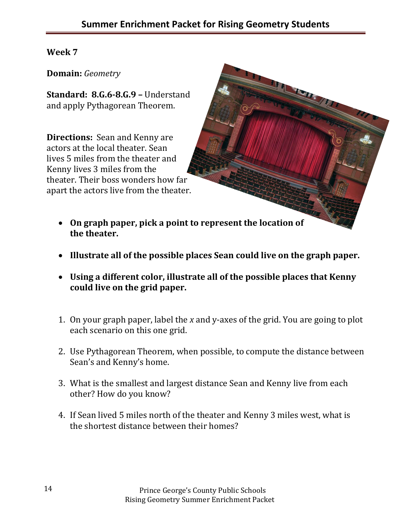**Domain:** *Geometry*

**Standard: 8.G.6-8.G.9 –** Understand and apply Pythagorean Theorem.

**Directions:** Sean and Kenny are actors at the local theater. Sean lives 5 miles from the theater and Kenny lives 3 miles from the theater. Their boss wonders how far apart the actors live from the theater.

- **On graph paper, pick a point to represent the location of the theater.**
- **Illustrate all of the possible places Sean could live on the graph paper.**
- **Using a different color, illustrate all of the possible places that Kenny could live on the grid paper.**
- 1. On your graph paper, label the *x* and y-axes of the grid. You are going to plot each scenario on this one grid.
- 2. Use Pythagorean Theorem, when possible, to compute the distance between Sean's and Kenny's home.
- 3. What is the smallest and largest distance Sean and Kenny live from each other? How do you know?
- 4. If Sean lived 5 miles north of the theater and Kenny 3 miles west, what is the shortest distance between their homes?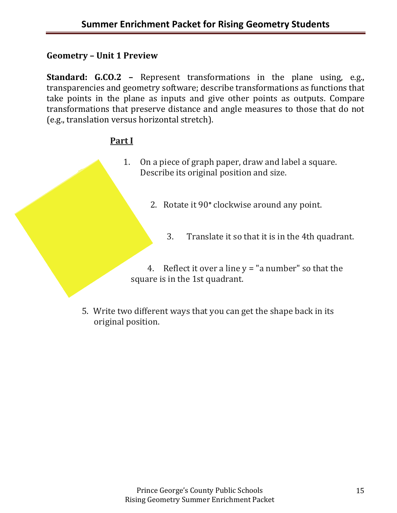#### **Geometry – Unit 1 Preview**

**Standard: G.CO.2 –** Represent transformations in the plane using, e.g., transparencies and geometry software; describe transformations as functions that take points in the plane as inputs and give other points as outputs. Compare transformations that preserve distance and angle measures to those that do not (e.g., translation versus horizontal stretch).

### **Part I**

- 1. On a piece of graph paper, draw and label a square. Describe its original position and size.
	- 2. Rotate it 90**°** clockwise around any point.
		- 3. Translate it so that it is in the 4th quadrant.

4. Reflect it over a line  $y =$  "a number" so that the square is in the 1st quadrant.

5. Write two different ways that you can get the shape back in its original position.